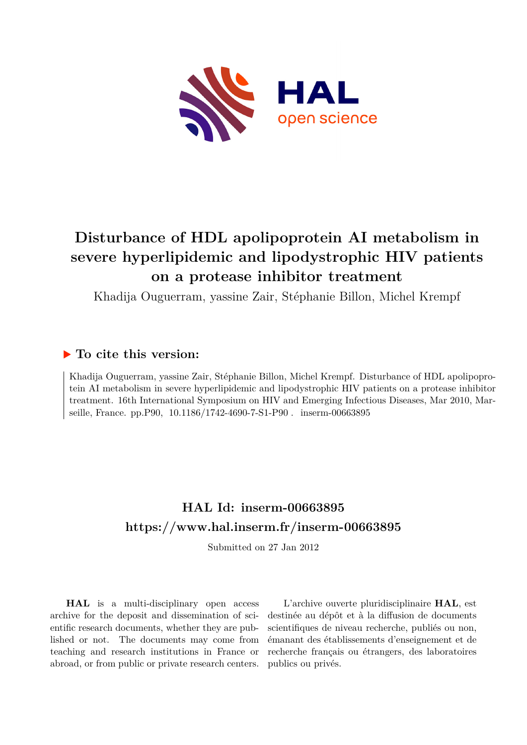

# **Disturbance of HDL apolipoprotein AI metabolism in severe hyperlipidemic and lipodystrophic HIV patients on a protease inhibitor treatment**

Khadija Ouguerram, yassine Zair, Stéphanie Billon, Michel Krempf

## **To cite this version:**

Khadija Ouguerram, yassine Zair, Stéphanie Billon, Michel Krempf. Disturbance of HDL apolipoprotein AI metabolism in severe hyperlipidemic and lipodystrophic HIV patients on a protease inhibitor treatment. 16th International Symposium on HIV and Emerging Infectious Diseases, Mar 2010, Marseille, France. pp.P90, 10.1186/1742-4690-7-S1-P90. inserm-00663895

## **HAL Id: inserm-00663895 <https://www.hal.inserm.fr/inserm-00663895>**

Submitted on 27 Jan 2012

**HAL** is a multi-disciplinary open access archive for the deposit and dissemination of scientific research documents, whether they are published or not. The documents may come from teaching and research institutions in France or abroad, or from public or private research centers.

L'archive ouverte pluridisciplinaire **HAL**, est destinée au dépôt et à la diffusion de documents scientifiques de niveau recherche, publiés ou non, émanant des établissements d'enseignement et de recherche français ou étrangers, des laboratoires publics ou privés.